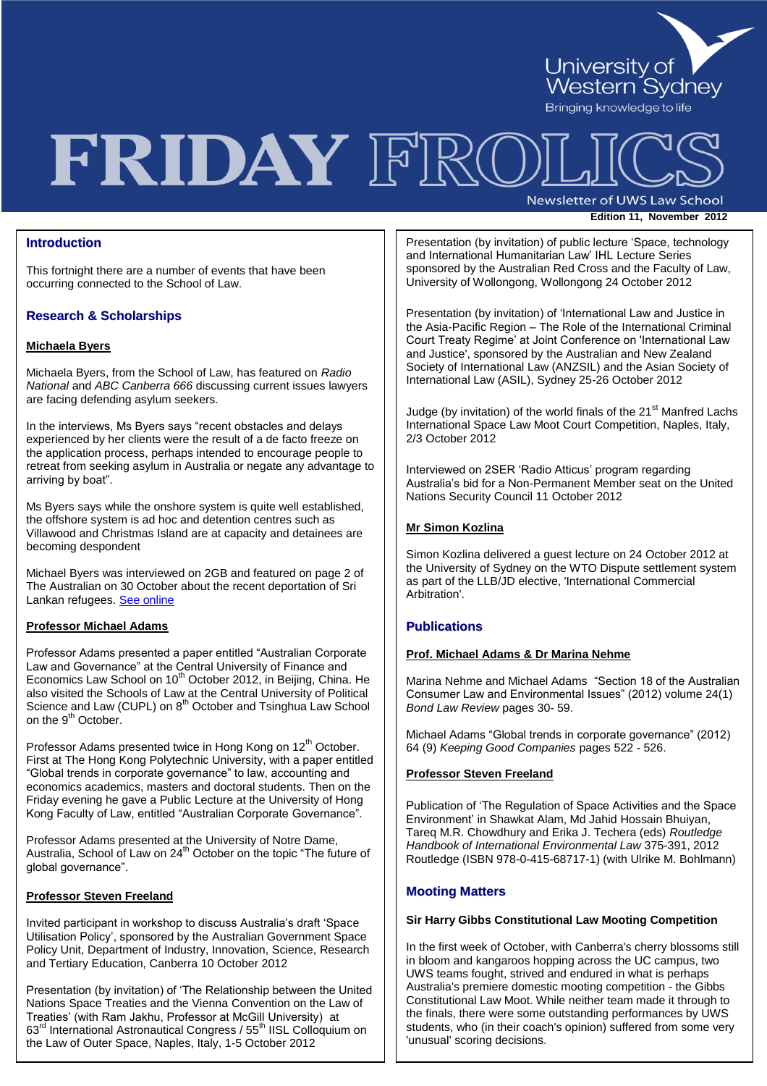

# FRIDAY FRO

Newsletter of UWS Law School **Edition 11, November 2012** 

## **Introduction**

This fortnight there are a number of events that have been occurring connected to the School of Law.

# **Research & Scholarships**

### **Michaela Byers**

Michaela Byers, from the School of Law, has featured on *Radio National* and *ABC Canberra 666* discussing current issues lawyers are facing defending asylum seekers.

In the interviews, Ms Byers says "recent obstacles and delays experienced by her clients were the result of a de facto freeze on the application process, perhaps intended to encourage people to retreat from seeking asylum in Australia or negate any advantage to arriving by boat".

Ms Byers says while the onshore system is quite well established, the offshore system is ad hoc and detention centres such as Villawood and Christmas Island are at capacity and detainees are becoming despondent

Michael Byers was interviewed on 2GB and featured on page 2 of The Australian on 30 October about the recent deportation of Sri Lankan refugees[. See online](http://www.theaustralian.com.au/national-affairs/immigration/deported-sri-lankans-face-cruel-treatment/story-fn9hm1gu-1226505648564)

### **Professor Michael Adams**

Professor Adams presented a paper entitled "Australian Corporate Law and Governance" at the Central University of Finance and Economics Law School on 10<sup>th</sup> October 2012, in Beijing, China. He also visited the Schools of Law at the Central University of Political Science and Law (CUPL) on 8<sup>th</sup> October and Tsinghua Law School on the 9<sup>th</sup> October.

Professor Adams presented twice in Hong Kong on 12<sup>th</sup> October. First at The Hong Kong Polytechnic University, with a paper entitled "Global trends in corporate governance" to law, accounting and economics academics, masters and doctoral students. Then on the Friday evening he gave a Public Lecture at the University of Hong Kong Faculty of Law, entitled "Australian Corporate Governance".

Professor Adams presented at the University of Notre Dame, Australia, School of Law on 24<sup>th</sup> October on the topic "The future of global governance".

#### **Professor Steven Freeland**

Invited participant in workshop to discuss Australia"s draft "Space Utilisation Policy", sponsored by the Australian Government Space Policy Unit, Department of Industry, Innovation, Science, Research and Tertiary Education, Canberra 10 October 2012

Presentation (by invitation) of "The Relationship between the United Nations Space Treaties and the Vienna Convention on the Law of Treaties" (with Ram Jakhu, Professor at McGill University) at 63<sup>rd</sup> International Astronautical Congress / 55<sup>th</sup> IISL Colloquium on the Law of Outer Space, Naples, Italy, 1-5 October 2012

Presentation (by invitation) of public lecture "Space, technology and International Humanitarian Law" IHL Lecture Series sponsored by the Australian Red Cross and the Faculty of Law, University of Wollongong, Wollongong 24 October 2012

Presentation (by invitation) of "International Law and Justice in the Asia-Pacific Region – The Role of the International Criminal Court Treaty Regime" at Joint Conference on 'International Law and Justice', sponsored by the Australian and New Zealand Society of International Law (ANZSIL) and the Asian Society of International Law (ASIL), Sydney 25-26 October 2012

Judge (by invitation) of the world finals of the 21<sup>st</sup> Manfred Lachs International Space Law Moot Court Competition, Naples, Italy, 2/3 October 2012

Interviewed on 2SER "Radio Atticus" program regarding Australia"s bid for a Non-Permanent Member seat on the United Nations Security Council 11 October 2012

#### **Mr Simon Kozlina**

Simon Kozlina delivered a guest lecture on 24 October 2012 at the University of Sydney on the WTO Dispute settlement system as part of the LLB/JD elective, 'International Commercial Arbitration'.

# **Publications**

# **Prof. Michael Adams & Dr Marina Nehme**

Marina Nehme and Michael Adams "Section 18 of the Australian Consumer Law and Environmental Issues" (2012) volume 24(1) *Bond Law Review* pages 30- 59.

Michael Adams "Global trends in corporate governance" (2012) 64 (9) *Keeping Good Companies* pages 522 - 526.

# **Professor Steven Freeland**

Publication of "The Regulation of Space Activities and the Space Environment" in Shawkat Alam, Md Jahid Hossain Bhuiyan, Tareq M.R. Chowdhury and Erika J. Techera (eds) *Routledge Handbook of International Environmental Law* 375-391, 2012 Routledge (ISBN 978-0-415-68717-1) (with Ulrike M. Bohlmann)

### **Mooting Matters**

#### **Sir Harry Gibbs Constitutional Law Mooting Competition**

In the first week of October, with Canberra's cherry blossoms still in bloom and kangaroos hopping across the UC campus, two UWS teams fought, strived and endured in what is perhaps Australia's premiere domestic mooting competition - the Gibbs Constitutional Law Moot. While neither team made it through to the finals, there were some outstanding performances by UWS students, who (in their coach's opinion) suffered from some very 'unusual' scoring decisions.